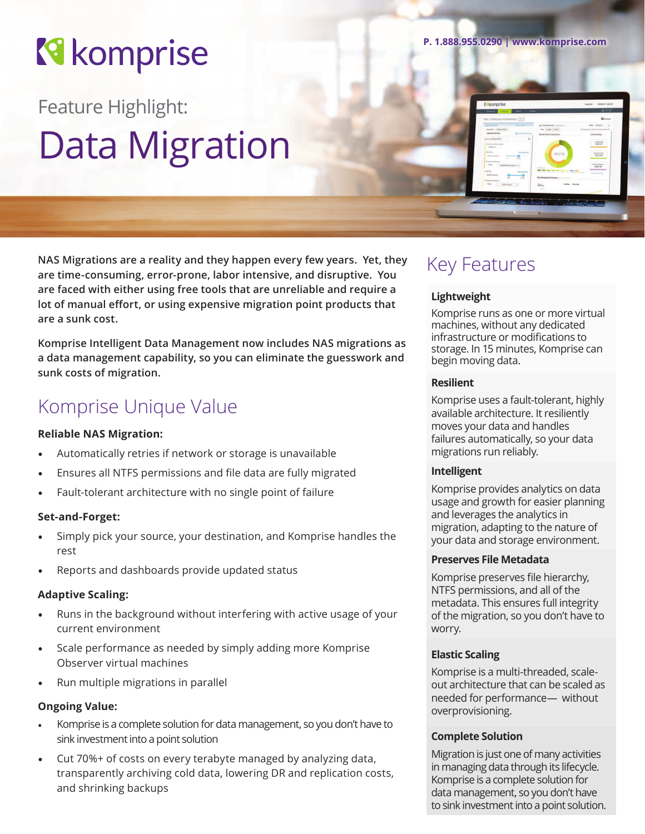# **R** komprise

Feature Highlight: Data Migration

**NAS Migrations are a reality and they happen every few years. Yet, they are time-consuming, error-prone, labor intensive, and disruptive. You are faced with either using free tools that are unreliable and require a lot of manual effort, or using expensive migration point products that are a sunk cost.** 

**Komprise Intelligent Data Management now includes NAS migrations as a data management capability, so you can eliminate the guesswork and sunk costs of migration.**

### Komprise Unique Value

#### **Reliable NAS Migration:**

- Automatically retries if network or storage is unavailable
- Ensures all NTFS permissions and file data are fully migrated
- Fault-tolerant architecture with no single point of failure

#### **Set-and-Forget:**

- Simply pick your source, your destination, and Komprise handles the rest
- Reports and dashboards provide updated status

#### **Adaptive Scaling:**

- Runs in the background without interfering with active usage of your current environment
- Scale performance as needed by simply adding more Komprise Observer virtual machines
- Run multiple migrations in parallel

#### **Ongoing Value:**

- Komprise is a complete solution for data management, so you don't have to sink investment into a point solution
- Cut 70%+ of costs on every terabyte managed by analyzing data, transparently archiving cold data, lowering DR and replication costs, and shrinking backups

**P. 1.888.955.0290 | www.komprise.com**

### Key Features

#### **Lightweight**

Komprise runs as one or more virtual machines, without any dedicated infrastructure or modifications to storage. In 15 minutes, Komprise can begin moving data.

#### **Resilient**

Komprise uses a fault-tolerant, highly available architecture. It resiliently moves your data and handles failures automatically, so your data migrations run reliably.

#### **Intelligent**

Komprise provides analytics on data usage and growth for easier planning and leverages the analytics in migration, adapting to the nature of your data and storage environment.

#### **Preserves File Metadata**

Komprise preserves file hierarchy, NTFS permissions, and all of the metadata. This ensures full integrity of the migration, so you don't have to worry.

#### **Elastic Scaling**

Komprise is a multi-threaded, scaleout architecture that can be scaled as needed for performance— without overprovisioning.

#### **Complete Solution**

Migration is just one of many activities in managing data through its lifecycle. Komprise is a complete solution for data management, so you don't have to sink investment into a point solution.